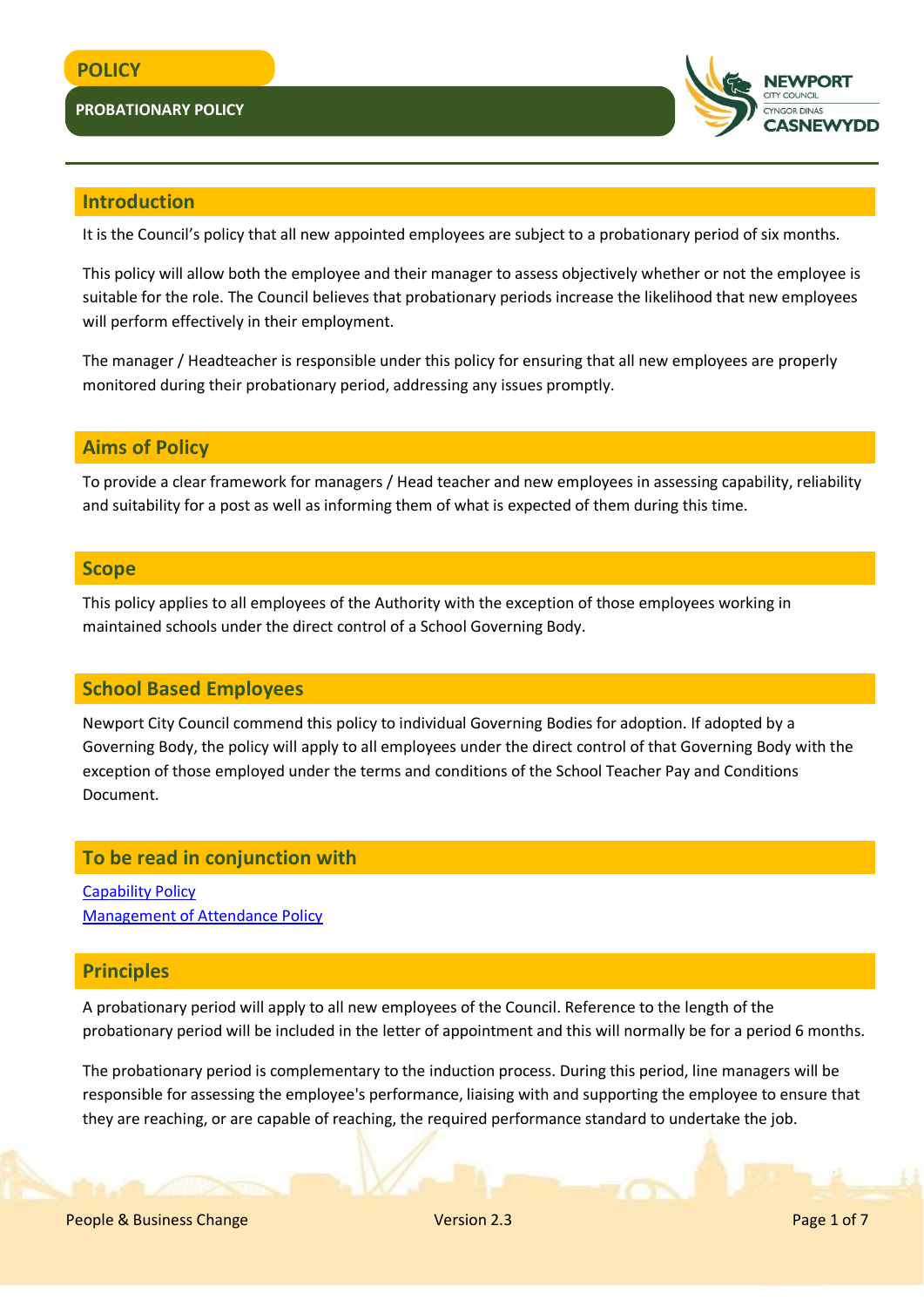### **PROBATIONARY POLICY**



# **Introduction**

It is the Council's policy that all new appointed employees are subject to a probationary period of six months.

This policy will allow both the employee and their manager to assess objectively whether or not the employee is suitable for the role. The Council believes that probationary periods increase the likelihood that new employees will perform effectively in their employment.

The manager / Headteacher is responsible under this policy for ensuring that all new employees are properly monitored during their probationary period, addressing any issues promptly.

### **Aims of Policy**

To provide a clear framework for managers / Head teacher and new employees in assessing capability, reliability and suitability for a post as well as informing them of what is expected of them during this time.

### **Scope**

This policy applies to all employees of the Authority with the exception of those employees working in maintained schools under the direct control of a School Governing Body.

### **School Based Employees**

Newport City Council commend this policy to individual Governing Bodies for adoption. If adopted by a Governing Body, the policy will apply to all employees under the direct control of that Governing Body with the exception of those employed under the terms and conditions of the School Teacher Pay and Conditions Document.

# **To be read in conjunction with**

[Capability Policy](http://www.newport.gov.uk/documents/Policies/HR-Capability-Policy.pdf) [Management of Attendance Policy](http://www.newport.gov.uk/documents/Policies/HR-Management-of-Attendance-Policy.pdf)

### **Principles**

A probationary period will apply to all new employees of the Council. Reference to the length of the probationary period will be included in the letter of appointment and this will normally be for a period 6 months.

The probationary period is complementary to the induction process. During this period, line managers will be responsible for assessing the employee's performance, liaising with and supporting the employee to ensure that they are reaching, or are capable of reaching, the required performance standard to undertake the job.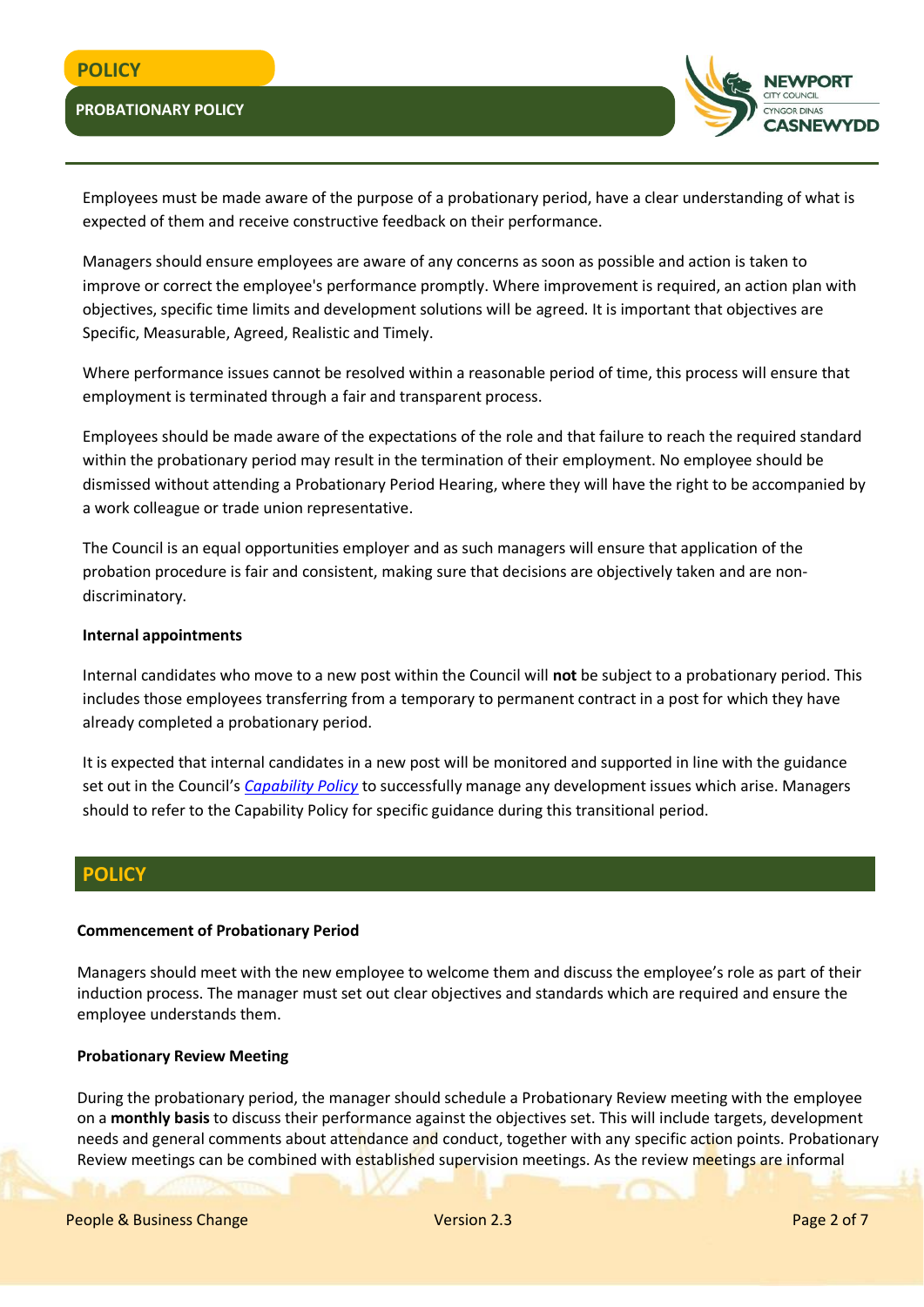### **PROBATIONARY POLICY**



Employees must be made aware of the purpose of a probationary period, have a clear understanding of what is expected of them and receive constructive feedback on their performance.

Managers should ensure employees are aware of any concerns as soon as possible and action is taken to improve or correct the employee's performance promptly. Where improvement is required, an action plan with objectives, specific time limits and development solutions will be agreed. It is important that objectives are Specific, Measurable, Agreed, Realistic and Timely.

Where performance issues cannot be resolved within a reasonable period of time, this process will ensure that employment is terminated through a fair and transparent process.

Employees should be made aware of the expectations of the role and that failure to reach the required standard within the probationary period may result in the termination of their employment. No employee should be dismissed without attending a Probationary Period Hearing, where they will have the right to be accompanied by a work colleague or trade union representative.

The Council is an equal opportunities employer and as such managers will ensure that application of the probation procedure is fair and consistent, making sure that decisions are objectively taken and are nondiscriminatory.

#### **Internal appointments**

Internal candidates who move to a new post within the Council will **not** be subject to a probationary period. This includes those employees transferring from a temporary to permanent contract in a post for which they have already completed a probationary period.

It is expected that internal candidates in a new post will be monitored and supported in line with the guidance set out in the Council's *[Capability Policy](http://www.newport.gov.uk/documents/Policies/HR-Capability-Policy.pdf)* to successfully manage any development issues which arise. Managers should to refer to the Capability Policy for specific guidance during this transitional period.

### **POLICY**

#### **Commencement of Probationary Period**

Managers should meet with the new employee to welcome them and discuss the employee's role as part of their induction process. The manager must set out clear objectives and standards which are required and ensure the employee understands them.

#### **Probationary Review Meeting**

During the probationary period, the manager should schedule a Probationary Review meeting with the employee on a **monthly basis** to discuss their performance against the objectives set. This will include targets, development needs and general comments about attendance and conduct, together with any specific action points. Probationary Review meetings can be combined with established supervision meetings. As the review meetings are informal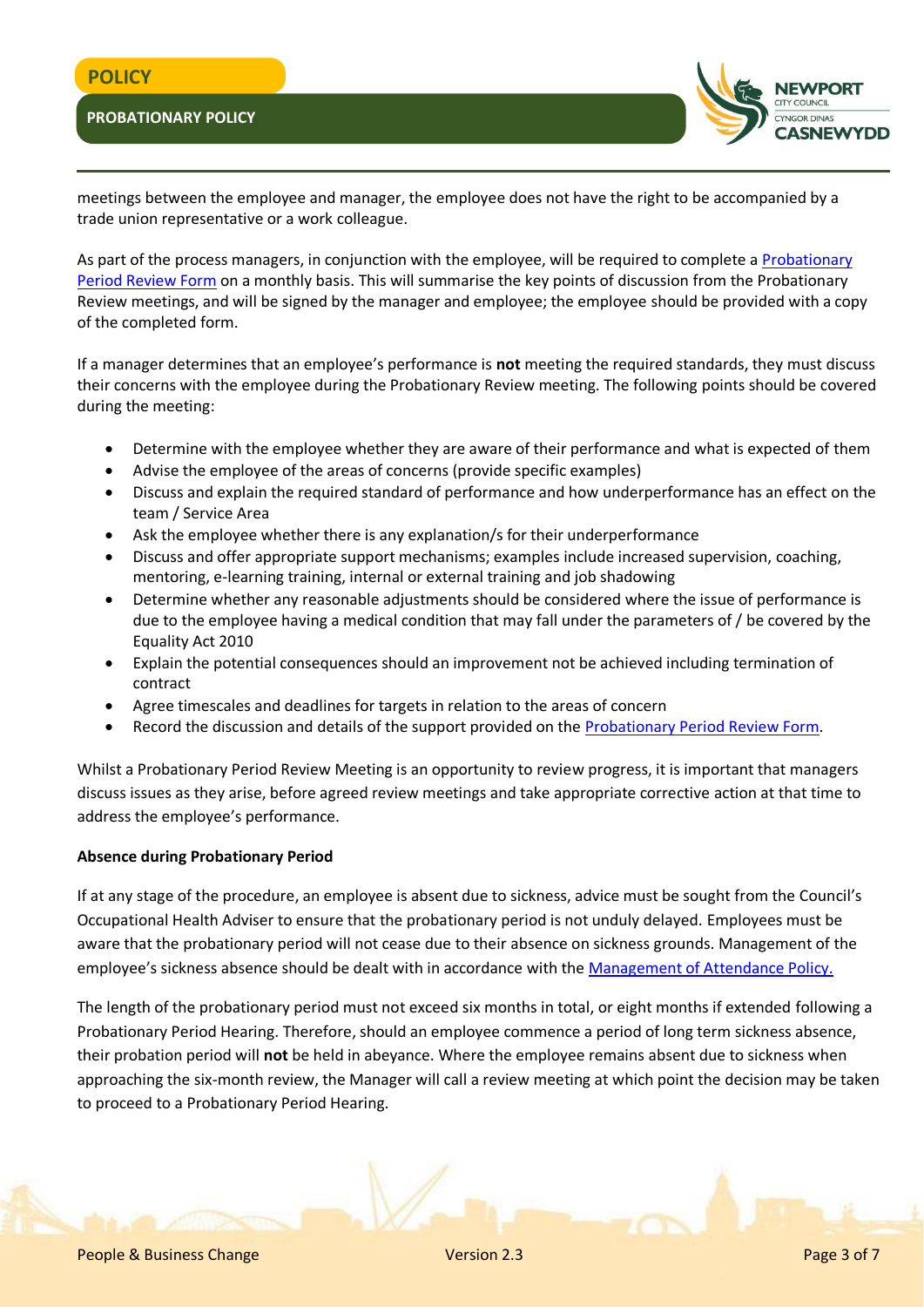# **POLICY**

### **PROBATIONARY POLICY**



meetings between the employee and manager, the employee does not have the right to be accompanied by a trade union representative or a work colleague.

As part of the process managers, in conjunction with the employee, will be required to complete a [Probationary](http://www.newport.gov.uk/documents/Templates/HR-Probation-Period-Review-Form.docx)  [Period Review Form](http://www.newport.gov.uk/documents/Templates/HR-Probation-Period-Review-Form.docx) on a monthly basis. This will summarise the key points of discussion from the Probationary Review meetings, and will be signed by the manager and employee; the employee should be provided with a copy of the completed form.

If a manager determines that an employee's performance is **not** meeting the required standards, they must discuss their concerns with the employee during the Probationary Review meeting. The following points should be covered during the meeting:

- Determine with the employee whether they are aware of their performance and what is expected of them
- Advise the employee of the areas of concerns (provide specific examples)
- Discuss and explain the required standard of performance and how underperformance has an effect on the team / Service Area
- Ask the employee whether there is any explanation/s for their underperformance
- Discuss and offer appropriate support mechanisms; examples include increased supervision, coaching, mentoring, e-learning training, internal or external training and job shadowing
- Determine whether any reasonable adjustments should be considered where the issue of performance is due to the employee having a medical condition that may fall under the parameters of / be covered by the Equality Act 2010
- Explain the potential consequences should an improvement not be achieved including termination of contract
- Agree timescales and deadlines for targets in relation to the areas of concern
- Record the discussion and details of the support provided on the [Probationary Period Review Form.](http://www.newport.gov.uk/documents/Templates/HR-Probation-Period-Review-Form.docx)

Whilst a Probationary Period Review Meeting is an opportunity to review progress, it is important that managers discuss issues as they arise, before agreed review meetings and take appropriate corrective action at that time to address the employee's performance.

### **Absence during Probationary Period**

If at any stage of the procedure, an employee is absent due to sickness, advice must be sought from the Council's Occupational Health Adviser to ensure that the probationary period is not unduly delayed. Employees must be aware that the probationary period will not cease due to their absence on sickness grounds. Management of the employee's sickness absence should be dealt with in accordance with the [Management of Attendance Policy.](http://www.newport.gov.uk/documents/Policies/HR-Management-of-Attendance-Policy.pdf)

The length of the probationary period must not exceed six months in total, or eight months if extended following a Probationary Period Hearing. Therefore, should an employee commence a period of long term sickness absence, their probation period will **not** be held in abeyance. Where the employee remains absent due to sickness when approaching the six-month review, the Manager will call a review meeting at which point the decision may be taken to proceed to a Probationary Period Hearing.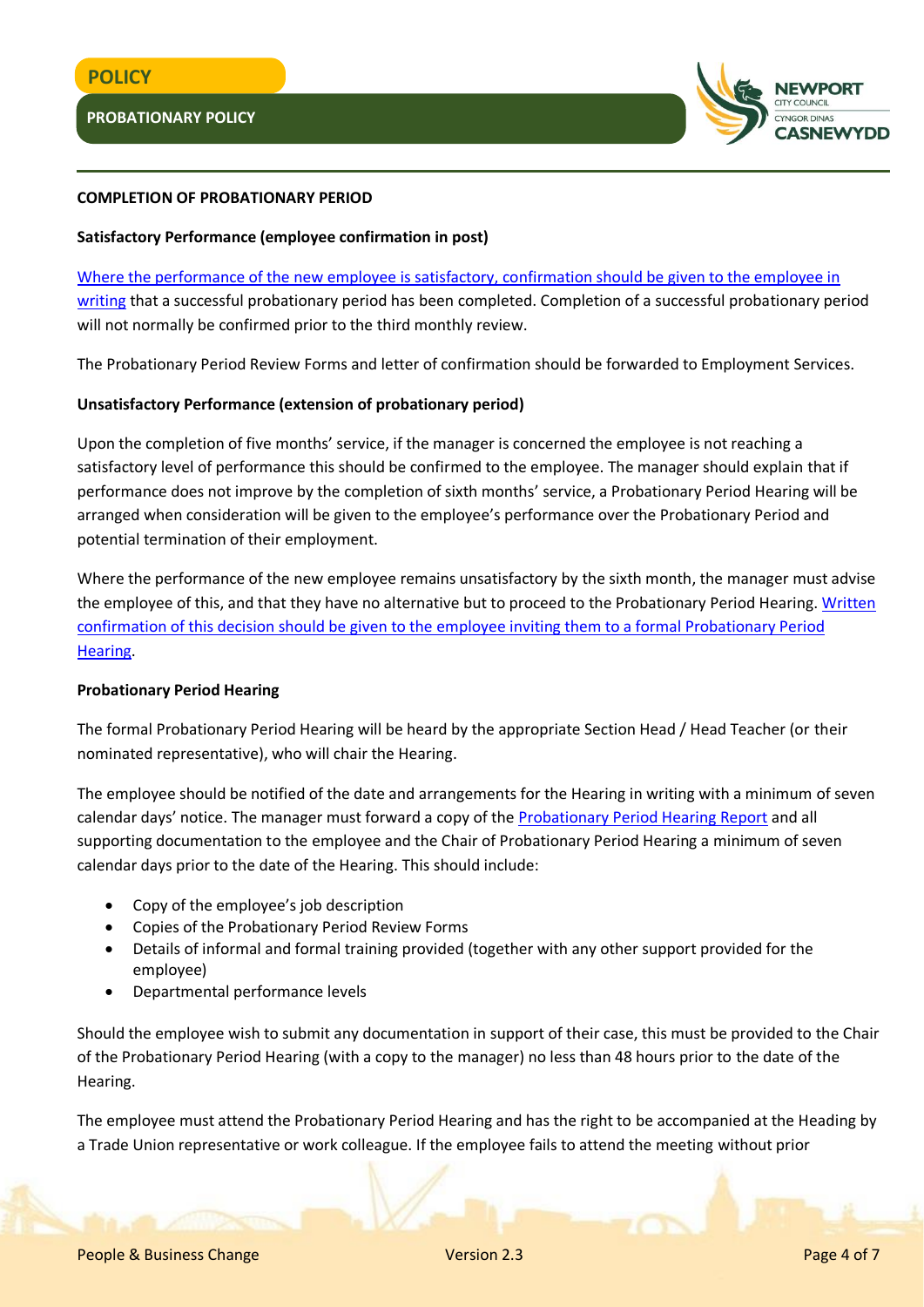

### **COMPLETION OF PROBATIONARY PERIOD**

### **Satisfactory Performance (employee confirmation in post)**

[Where the performance of the new employee is satisfactory, confirmation should be given to the employee in](http://www.newport.gov.uk/documents/Templates/HR-Confirmation-of-a-Successful-Probationary-Period.docx)  [writing](http://www.newport.gov.uk/documents/Templates/HR-Confirmation-of-a-Successful-Probationary-Period.docx) that a successful probationary period has been completed. Completion of a successful probationary period will not normally be confirmed prior to the third monthly review.

The Probationary Period Review Forms and letter of confirmation should be forwarded to Employment Services.

### **Unsatisfactory Performance (extension of probationary period)**

Upon the completion of five months' service, if the manager is concerned the employee is not reaching a satisfactory level of performance this should be confirmed to the employee. The manager should explain that if performance does not improve by the completion of sixth months' service, a Probationary Period Hearing will be arranged when consideration will be given to the employee's performance over the Probationary Period and potential termination of their employment.

Where the performance of the new employee remains unsatisfactory by the sixth month, the manager must advise the employee of this, and that they have no alternative but to proceed to the Probationary Period Hearing. Written [confirmation of this decision should be given to the employee inviting them to a formal Probationary Period](http://www.newport.gov.uk/documents/Templates/HR-Invitation-to-Probationary-Period-Hearing.docx) [Hearing.](http://www.newport.gov.uk/documents/Templates/HR-Invitation-to-Probationary-Period-Hearing.docx)

### **Probationary Period Hearing**

The formal Probationary Period Hearing will be heard by the appropriate Section Head / Head Teacher (or their nominated representative), who will chair the Hearing.

The employee should be notified of the date and arrangements for the Hearing in writing with a minimum of seven calendar days' notice. The manager must forward a copy of the [Probationary Period Hearing Report](http://www.newport.gov.uk/documents/Templates/HR-Probationary-Period-Hearing-Report.docx) and all supporting documentation to the employee and the Chair of Probationary Period Hearing a minimum of seven calendar days prior to the date of the Hearing. This should include:

- Copy of the employee's job description
- Copies of the Probationary Period Review Forms
- Details of informal and formal training provided (together with any other support provided for the employee)
- Departmental performance levels

Should the employee wish to submit any documentation in support of their case, this must be provided to the Chair of the Probationary Period Hearing (with a copy to the manager) no less than 48 hours prior to the date of the Hearing.

The employee must attend the Probationary Period Hearing and has the right to be accompanied at the Heading by a Trade Union representative or work colleague. If the employee fails to attend the meeting without prior

People & Business Change Version 2.3 Page 4 of 7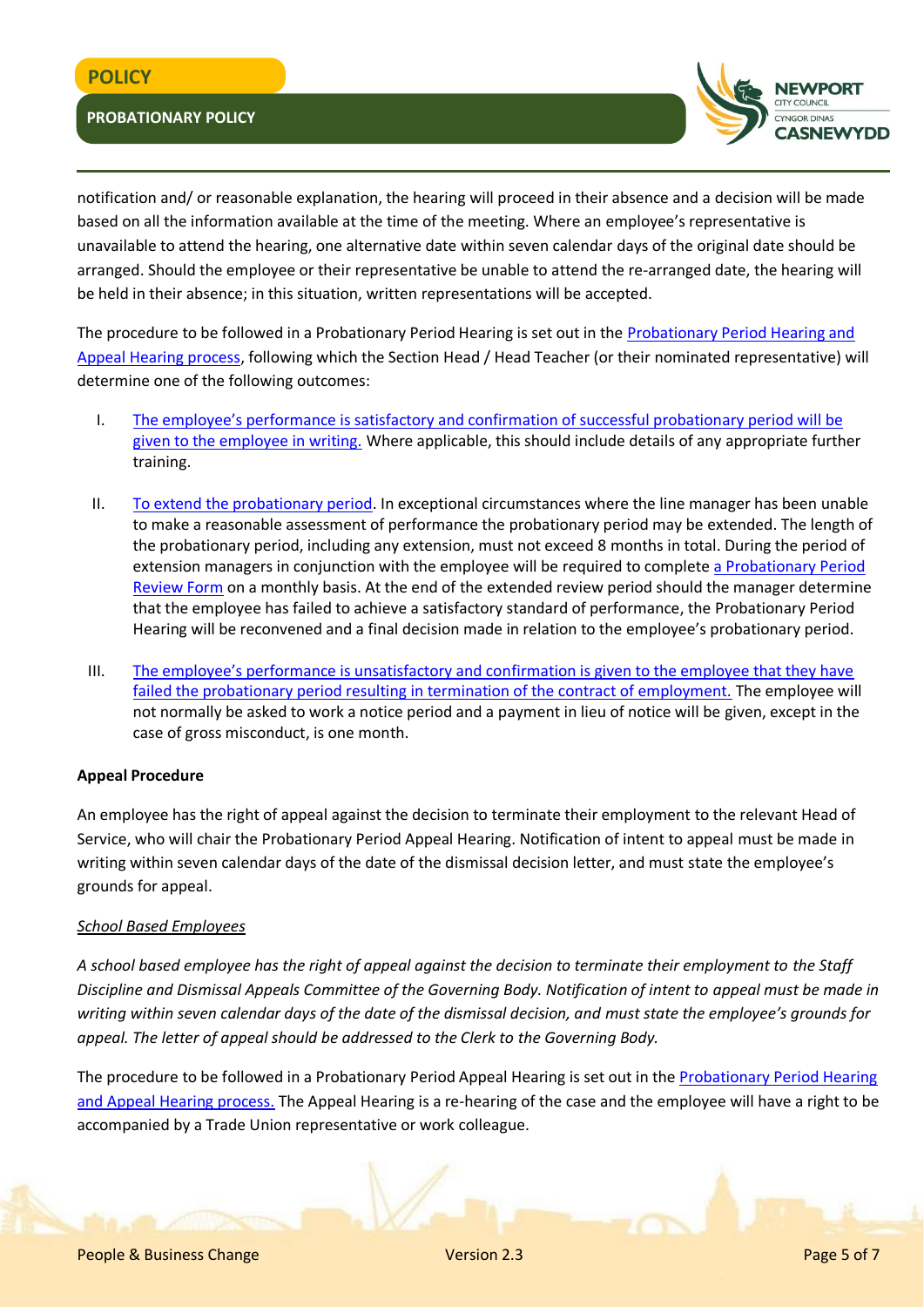### **PROBATIONARY POLICY**



notification and/ or reasonable explanation, the hearing will proceed in their absence and a decision will be made based on all the information available at the time of the meeting. Where an employee's representative is unavailable to attend the hearing, one alternative date within seven calendar days of the original date should be arranged. Should the employee or their representative be unable to attend the re-arranged date, the hearing will be held in their absence; in this situation, written representations will be accepted.

The procedure to be followed in a Probationary Period Hearing is set out in the [Probationary Period Hearing and](http://www.newport.gov.uk/documents/Policies/HR-Probationary-Period-Hearing-and-Appeal-Hearing-Process.pdf)  [Appeal Hearing process,](http://www.newport.gov.uk/documents/Policies/HR-Probationary-Period-Hearing-and-Appeal-Hearing-Process.pdf) following which the Section Head / Head Teacher (or their nominated representative) will determine one of the following outcomes:

- I. [The employee's performance is satisfactory and confirmation of successful probation](http://www.newport.gov.uk/documents/Templates/HR-Outcome-of-Probationary-Period-Hearing-Successful-Compleletion.docx)ary period will be [given to the employee in writing.](http://www.newport.gov.uk/documents/Templates/HR-Outcome-of-Probationary-Period-Hearing-Successful-Compleletion.docx) Where applicable, this should include details of any appropriate further training.
- II. [To extend the probationary period.](http://www.newport.gov.uk/documents/Templates/HR-Outcome-of-Probationary-Period-Hearing-Extension-of-Review-Period.docx) In exceptional circumstances where the line manager has been unable to make a reasonable assessment of performance the probationary period may be extended. The length of the probationary period, including any extension, must not exceed 8 months in total. During the period of extension managers in conjunction with the employee will be required to complete a Probationary Period [Review Form](http://www.newport.gov.uk/documents/Templates/HR-Probation-Period-Review-Form.docx) on a monthly basis. At the end of the extended review period should the manager determine that the employee has failed to achieve a satisfactory standard of performance, the Probationary Period Hearing will be reconvened and a final decision made in relation to the employee's probationary period.
- III. [The employee's performance is unsatisfactory and confirmation is given to the employee that they have](http://www.newport.gov.uk/documents/Templates/HR-Outcome-of-Probationary-Period-Hearing-Dismissal.docx)  [failed the probationary period resulting in termination of the contract of employment.](http://www.newport.gov.uk/documents/Templates/HR-Outcome-of-Probationary-Period-Hearing-Dismissal.docx) The employee will not normally be asked to work a notice period and a payment in lieu of notice will be given, except in the case of gross misconduct, is one month.

### **Appeal Procedure**

An employee has the right of appeal against the decision to terminate their employment to the relevant Head of Service, who will chair the Probationary Period Appeal Hearing. Notification of intent to appeal must be made in writing within seven calendar days of the date of the dismissal decision letter, and must state the employee's grounds for appeal.

### *School Based Employees*

*A school based employee has the right of appeal against the decision to terminate their employment to the Staff Discipline and Dismissal Appeals Committee of the Governing Body. Notification of intent to appeal must be made in writing within seven calendar days of the date of the dismissal decision, and must state the employee's grounds for appeal. The letter of appeal should be addressed to the Clerk to the Governing Body.*

The procedure to be followed in a Probationary Period Appeal Hearing is set out in the Probationary Period Hearing [and Appeal Hearing process.](http://www.newport.gov.uk/documents/Policies/HR-Probationary-Period-Hearing-and-Appeal-Hearing-Process.pdf) The Appeal Hearing is a re-hearing of the case and the employee will have a right to be accompanied by a Trade Union representative or work colleague.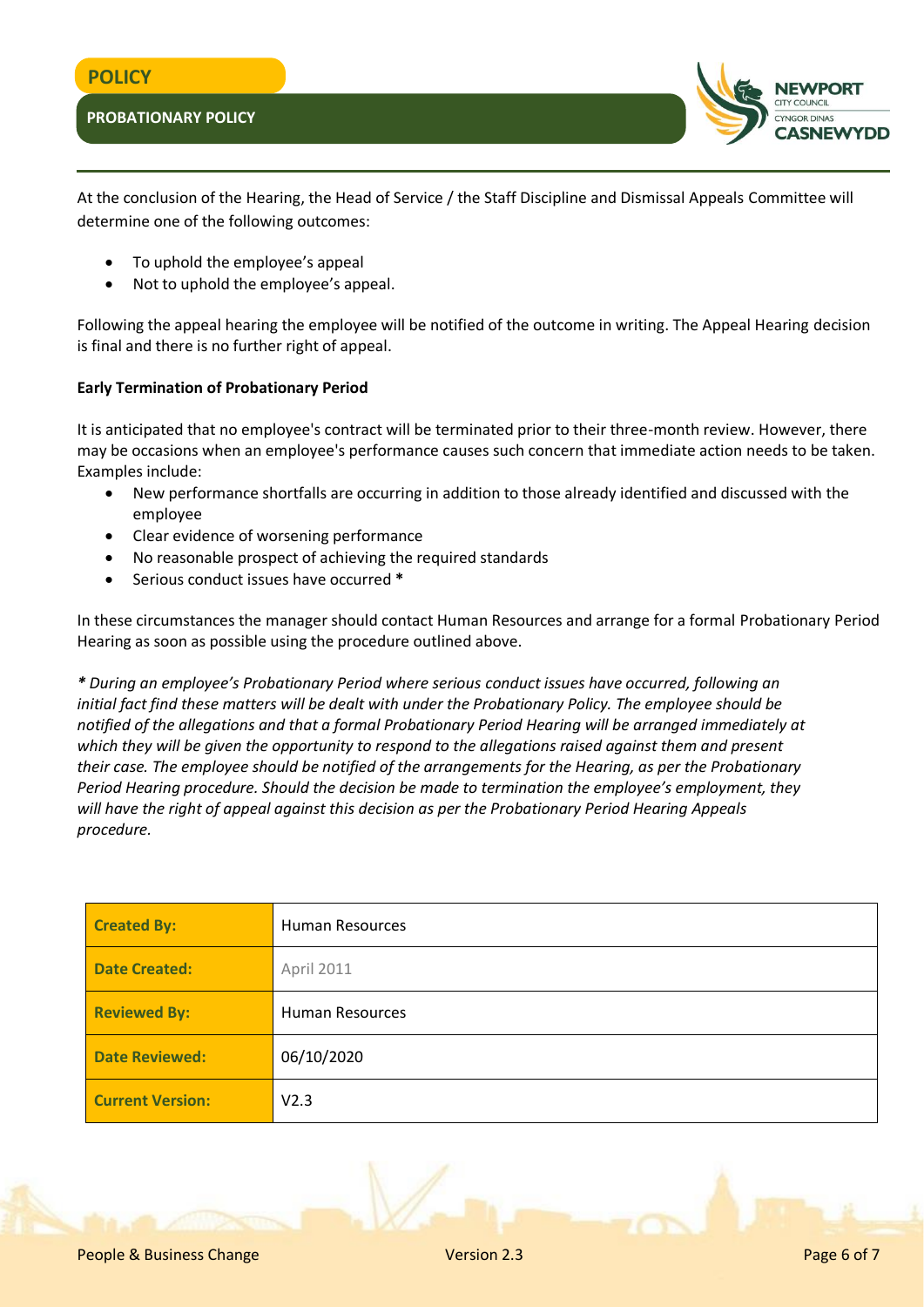

At the conclusion of the Hearing, the Head of Service / the Staff Discipline and Dismissal Appeals Committee will determine one of the following outcomes:

- To uphold the employee's appeal
- Not to uphold the employee's appeal.

Following the appeal hearing the employee will be notified of the outcome in writing. The Appeal Hearing decision is final and there is no further right of appeal.

### **Early Termination of Probationary Period**

It is anticipated that no employee's contract will be terminated prior to their three-month review. However, there may be occasions when an employee's performance causes such concern that immediate action needs to be taken. Examples include:

- New performance shortfalls are occurring in addition to those already identified and discussed with the employee
- Clear evidence of worsening performance
- No reasonable prospect of achieving the required standards
- Serious conduct issues have occurred **\***

In these circumstances the manager should contact Human Resources and arrange for a formal Probationary Period Hearing as soon as possible using the procedure outlined above.

*\* During an employee's Probationary Period where serious conduct issues have occurred, following an initial fact find these matters will be dealt with under the Probationary Policy. The employee should be notified of the allegations and that a formal Probationary Period Hearing will be arranged immediately at which they will be given the opportunity to respond to the allegations raised against them and present their case. The employee should be notified of the arrangements for the Hearing, as per the Probationary Period Hearing procedure. Should the decision be made to termination the employee's employment, they will have the right of appeal against this decision as per the Probationary Period Hearing Appeals procedure.*

| <b>Created By:</b>      | <b>Human Resources</b> |  |
|-------------------------|------------------------|--|
| <b>Date Created:</b>    | April 2011             |  |
| <b>Reviewed By:</b>     | <b>Human Resources</b> |  |
| <b>Date Reviewed:</b>   | 06/10/2020             |  |
| <b>Current Version:</b> | V <sub>2.3</sub>       |  |